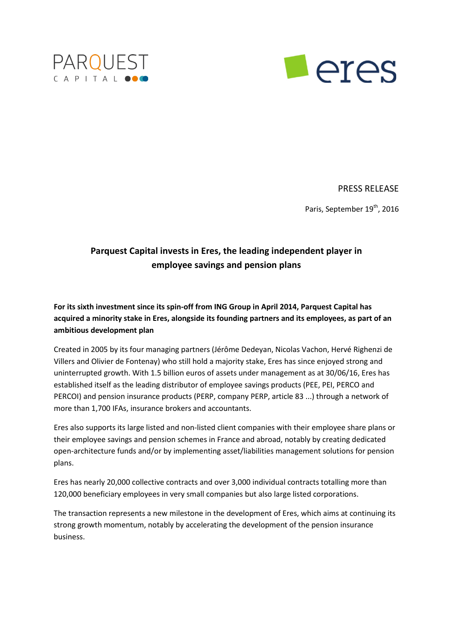



PRESS RELEASE

Paris, September 19<sup>th</sup>, 2016

# **Parquest Capital invests in Eres, the leading independent player in employee savings and pension plans**

**For its sixth investment since its spin-off from ING Group in April 2014, Parquest Capital has acquired a minority stake in Eres, alongside its founding partners and its employees, as part of an ambitious development plan**

Created in 2005 by its four managing partners (Jérôme Dedeyan, Nicolas Vachon, Hervé Righenzi de Villers and Olivier de Fontenay) who still hold a majority stake, Eres has since enjoyed strong and uninterrupted growth. With 1.5 billion euros of assets under management as at 30/06/16, Eres has established itself as the leading distributor of employee savings products (PEE, PEI, PERCO and PERCOI) and pension insurance products (PERP, company PERP, article 83 ...) through a network of more than 1,700 IFAs, insurance brokers and accountants.

Eres also supports its large listed and non-listed client companies with their employee share plans or their employee savings and pension schemes in France and abroad, notably by creating dedicated open-architecture funds and/or by implementing asset/liabilities management solutions for pension plans.

Eres has nearly 20,000 collective contracts and over 3,000 individual contracts totalling more than 120,000 beneficiary employees in very small companies but also large listed corporations.

The transaction represents a new milestone in the development of Eres, which aims at continuing its strong growth momentum, notably by accelerating the development of the pension insurance business.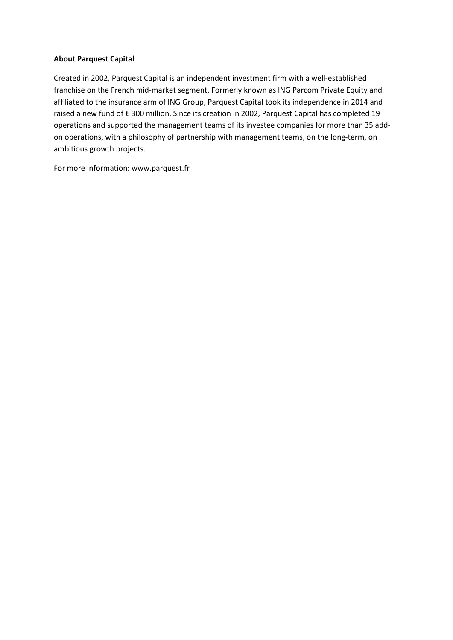## **About Parquest Capital**

Created in 2002, Parquest Capital is an independent investment firm with a well-established franchise on the French mid-market segment. Formerly known as ING Parcom Private Equity and affiliated to the insurance arm of ING Group, Parquest Capital took its independence in 2014 and raised a new fund of € 300 million. Since its creation in 2002, Parquest Capital has completed 19 operations and supported the management teams of its investee companies for more than 35 addon operations, with a philosophy of partnership with management teams, on the long-term, on ambitious growth projects.

For more information: www.parquest.fr